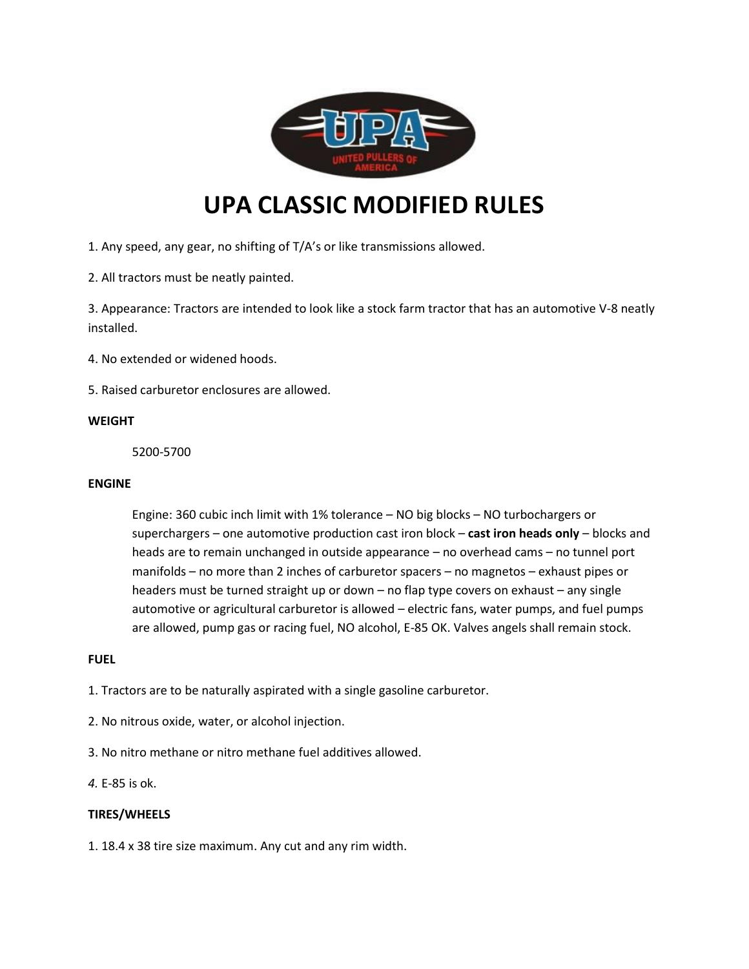

# **UPA CLASSIC MODIFIED RULES**

1. Any speed, any gear, no shifting of T/A's or like transmissions allowed.

2. All tractors must be neatly painted.

3. Appearance: Tractors are intended to look like a stock farm tractor that has an automotive V-8 neatly installed.

4. No extended or widened hoods.

5. Raised carburetor enclosures are allowed.

#### **WEIGHT**

5200-5700

### **ENGINE**

Engine: 360 cubic inch limit with 1% tolerance – NO big blocks – NO turbochargers or superchargers – one automotive production cast iron block – **cast iron heads only** – blocks and heads are to remain unchanged in outside appearance – no overhead cams – no tunnel port manifolds – no more than 2 inches of carburetor spacers – no magnetos – exhaust pipes or headers must be turned straight up or down – no flap type covers on exhaust – any single automotive or agricultural carburetor is allowed – electric fans, water pumps, and fuel pumps are allowed, pump gas or racing fuel, NO alcohol, E-85 OK. Valves angels shall remain stock.

# **FUEL**

1. Tractors are to be naturally aspirated with a single gasoline carburetor.

- 2. No nitrous oxide, water, or alcohol injection.
- 3. No nitro methane or nitro methane fuel additives allowed.
- *4.* E-85 is ok.

### **TIRES/WHEELS**

1. 18.4 x 38 tire size maximum. Any cut and any rim width.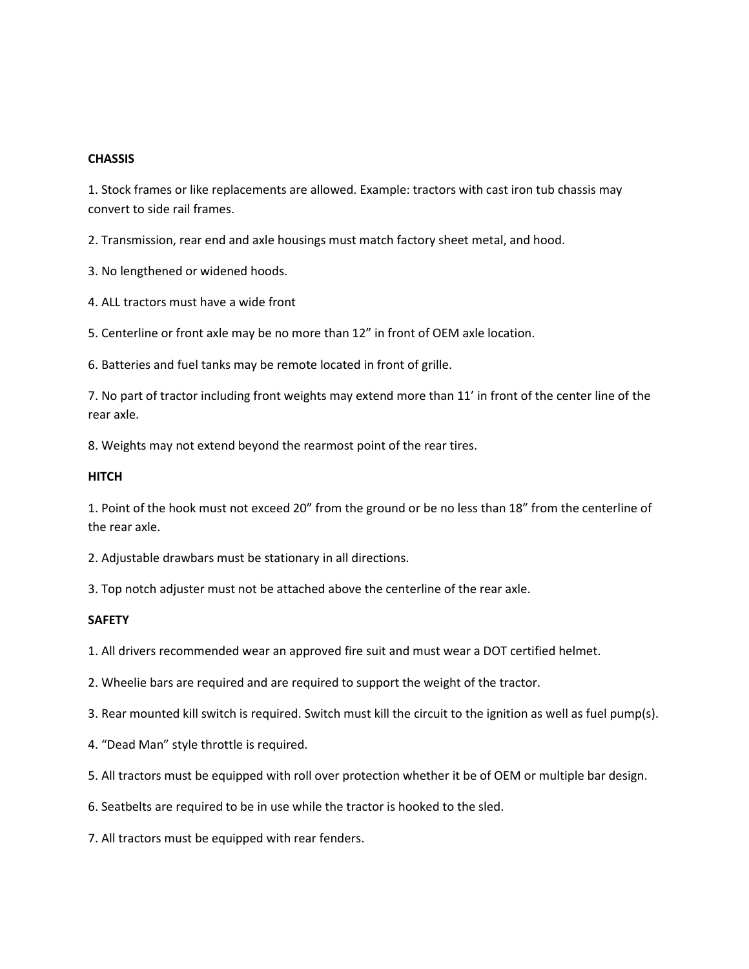#### **CHASSIS**

1. Stock frames or like replacements are allowed. Example: tractors with cast iron tub chassis may convert to side rail frames.

2. Transmission, rear end and axle housings must match factory sheet metal, and hood.

3. No lengthened or widened hoods.

4. ALL tractors must have a wide front

5. Centerline or front axle may be no more than 12" in front of OEM axle location.

6. Batteries and fuel tanks may be remote located in front of grille.

7. No part of tractor including front weights may extend more than 11' in front of the center line of the rear axle.

8. Weights may not extend beyond the rearmost point of the rear tires.

#### **HITCH**

1. Point of the hook must not exceed 20" from the ground or be no less than 18" from the centerline of the rear axle.

2. Adjustable drawbars must be stationary in all directions.

3. Top notch adjuster must not be attached above the centerline of the rear axle.

# **SAFETY**

1. All drivers recommended wear an approved fire suit and must wear a DOT certified helmet.

2. Wheelie bars are required and are required to support the weight of the tractor.

3. Rear mounted kill switch is required. Switch must kill the circuit to the ignition as well as fuel pump(s).

4. "Dead Man" style throttle is required.

5. All tractors must be equipped with roll over protection whether it be of OEM or multiple bar design.

6. Seatbelts are required to be in use while the tractor is hooked to the sled.

7. All tractors must be equipped with rear fenders.